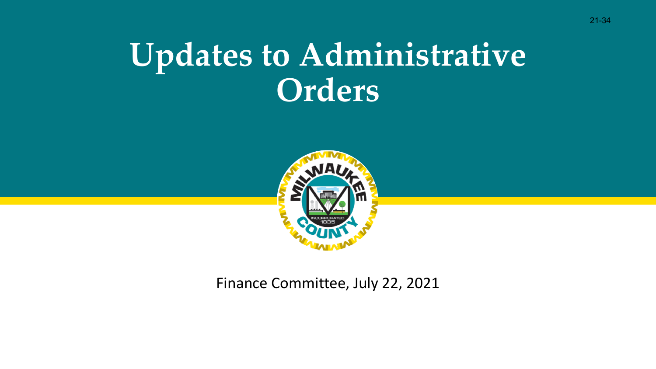## **Updates to Administrative Orders**



Finance Committee, July 22, 2021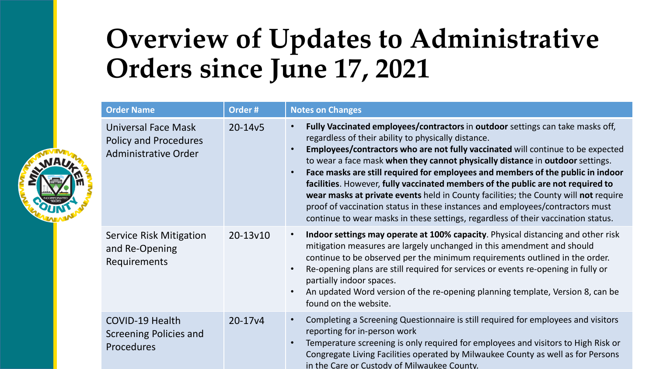### **Overview of Updates to Administrative Orders since June 17, 2021**

| <b>Order Name</b>                                                                         | Order#   | <b>Notes on Changes</b>                                                                                                                                                                                                                                                                                                                                                                                                                                                                                                                                                                                                                                                                                                                                                             |  |
|-------------------------------------------------------------------------------------------|----------|-------------------------------------------------------------------------------------------------------------------------------------------------------------------------------------------------------------------------------------------------------------------------------------------------------------------------------------------------------------------------------------------------------------------------------------------------------------------------------------------------------------------------------------------------------------------------------------------------------------------------------------------------------------------------------------------------------------------------------------------------------------------------------------|--|
| <b>Universal Face Mask</b><br><b>Policy and Procedures</b><br><b>Administrative Order</b> | 20-14v5  | Fully Vaccinated employees/contractors in outdoor settings can take masks off,<br>$\bullet$<br>regardless of their ability to physically distance.<br>Employees/contractors who are not fully vaccinated will continue to be expected<br>$\bullet$<br>to wear a face mask when they cannot physically distance in outdoor settings.<br>Face masks are still required for employees and members of the public in indoor<br>$\bullet$<br>facilities. However, fully vaccinated members of the public are not required to<br>wear masks at private events held in County facilities; the County will not require<br>proof of vaccination status in these instances and employees/contractors must<br>continue to wear masks in these settings, regardless of their vaccination status. |  |
| <b>Service Risk Mitigation</b><br>and Re-Opening<br><b>Requirements</b>                   | 20-13v10 | Indoor settings may operate at 100% capacity. Physical distancing and other risk<br>$\bullet$<br>mitigation measures are largely unchanged in this amendment and should<br>continue to be observed per the minimum requirements outlined in the order.<br>Re-opening plans are still required for services or events re-opening in fully or<br>$\bullet$<br>partially indoor spaces.<br>An updated Word version of the re-opening planning template, Version 8, can be<br>$\bullet$<br>found on the website.                                                                                                                                                                                                                                                                        |  |
| <b>COVID-19 Health</b><br>Screening Policies and<br>Procedures                            | 20-17y4  | Completing a Screening Questionnaire is still required for employees and visitors<br>$\bullet$<br>reporting for in-person work<br>Temperature screening is only required for employees and visitors to High Risk or<br>$\bullet$<br>Congregate Living Facilities operated by Milwaukee County as well as for Persons<br>in the Care or Custody of Milwaukee County.                                                                                                                                                                                                                                                                                                                                                                                                                 |  |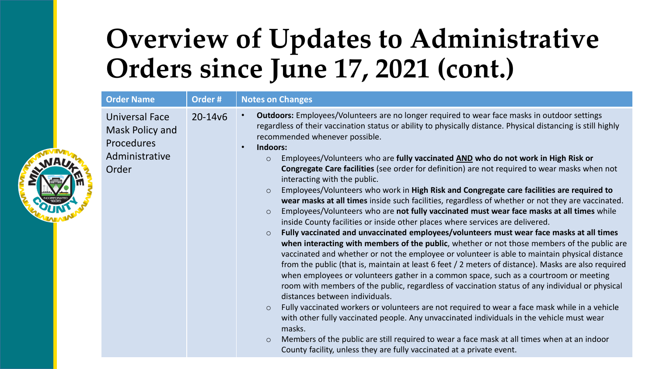### **Overview of Updates to Administrative Orders since June 17, 2021 (cont.)**

| <b>Order Name</b>                                                                 | Order#      | <b>Notes on Changes</b>                                                                                                                                                                                                                                                                                                                                                                                                                                                                                                                                                                                                                                                                                                                                                                                                                                                                                                                                                                                                                                                                                                                                                                                                                                                                                                                                                                                                                                                                                                                                                                                                                                                                                                                                                                                                                                                                                                                                      |  |
|-----------------------------------------------------------------------------------|-------------|--------------------------------------------------------------------------------------------------------------------------------------------------------------------------------------------------------------------------------------------------------------------------------------------------------------------------------------------------------------------------------------------------------------------------------------------------------------------------------------------------------------------------------------------------------------------------------------------------------------------------------------------------------------------------------------------------------------------------------------------------------------------------------------------------------------------------------------------------------------------------------------------------------------------------------------------------------------------------------------------------------------------------------------------------------------------------------------------------------------------------------------------------------------------------------------------------------------------------------------------------------------------------------------------------------------------------------------------------------------------------------------------------------------------------------------------------------------------------------------------------------------------------------------------------------------------------------------------------------------------------------------------------------------------------------------------------------------------------------------------------------------------------------------------------------------------------------------------------------------------------------------------------------------------------------------------------------------|--|
| Universal Face<br>Mask Policy and<br><b>Procedures</b><br>Administrative<br>Order | $20 - 14v6$ | <b>Outdoors:</b> Employees/Volunteers are no longer required to wear face masks in outdoor settings<br>regardless of their vaccination status or ability to physically distance. Physical distancing is still highly<br>recommended whenever possible.<br>Indoors:<br>Employees/Volunteers who are fully vaccinated AND who do not work in High Risk or<br>$\circ$<br>Congregate Care facilities (see order for definition) are not required to wear masks when not<br>interacting with the public.<br>Employees/Volunteers who work in High Risk and Congregate care facilities are required to<br>$\circ$<br>wear masks at all times inside such facilities, regardless of whether or not they are vaccinated.<br>Employees/Volunteers who are not fully vaccinated must wear face masks at all times while<br>$\circ$<br>inside County facilities or inside other places where services are delivered.<br>Fully vaccinated and unvaccinated employees/volunteers must wear face masks at all times<br>$\circ$<br>when interacting with members of the public, whether or not those members of the public are<br>vaccinated and whether or not the employee or volunteer is able to maintain physical distance<br>from the public (that is, maintain at least 6 feet / 2 meters of distance). Masks are also required<br>when employees or volunteers gather in a common space, such as a courtroom or meeting<br>room with members of the public, regardless of vaccination status of any individual or physical<br>distances between individuals.<br>Fully vaccinated workers or volunteers are not required to wear a face mask while in a vehicle<br>$\circ$<br>with other fully vaccinated people. Any unvaccinated individuals in the vehicle must wear<br>masks.<br>Members of the public are still required to wear a face mask at all times when at an indoor<br>$\circ$<br>County facility, unless they are fully vaccinated at a private event. |  |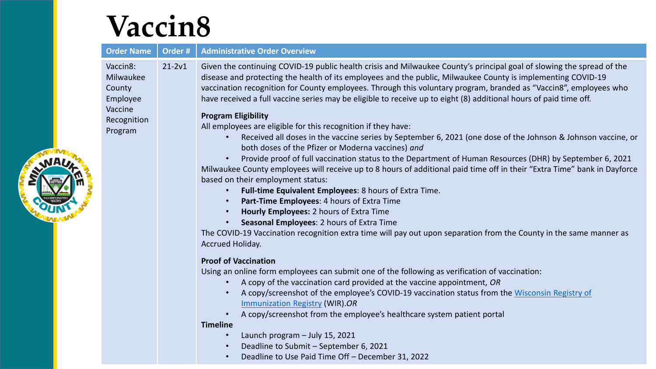## **Vaccin8**

| <b>Order Name</b>                                                                | Order #    | <b>Administrative Order Overview</b>                                                                                                                                                                                                                                                                                                                                                                                                                                                                                                                                                                                                                                                                                                                                                                                                                                                                                                                                                                                                                                                                                                                                                                                                                                                                                                                                                                                           |  |
|----------------------------------------------------------------------------------|------------|--------------------------------------------------------------------------------------------------------------------------------------------------------------------------------------------------------------------------------------------------------------------------------------------------------------------------------------------------------------------------------------------------------------------------------------------------------------------------------------------------------------------------------------------------------------------------------------------------------------------------------------------------------------------------------------------------------------------------------------------------------------------------------------------------------------------------------------------------------------------------------------------------------------------------------------------------------------------------------------------------------------------------------------------------------------------------------------------------------------------------------------------------------------------------------------------------------------------------------------------------------------------------------------------------------------------------------------------------------------------------------------------------------------------------------|--|
| Vaccin8:<br>Milwaukee<br>County<br>Employee<br>Vaccine<br>Recognition<br>Program | $21 - 2v1$ | Given the continuing COVID-19 public health crisis and Milwaukee County's principal goal of slowing the spread of the<br>disease and protecting the health of its employees and the public, Milwaukee County is implementing COVID-19<br>vaccination recognition for County employees. Through this voluntary program, branded as "Vaccin8", employees who<br>have received a full vaccine series may be eligible to receive up to eight (8) additional hours of paid time off.<br><b>Program Eligibility</b><br>All employees are eligible for this recognition if they have:<br>Received all doses in the vaccine series by September 6, 2021 (one dose of the Johnson & Johnson vaccine, or<br>both doses of the Pfizer or Moderna vaccines) and<br>Provide proof of full vaccination status to the Department of Human Resources (DHR) by September 6, 2021<br>Milwaukee County employees will receive up to 8 hours of additional paid time off in their "Extra Time" bank in Dayforce<br>based on their employment status:<br>Full-time Equivalent Employees: 8 hours of Extra Time.<br>$\bullet$<br>Part-Time Employees: 4 hours of Extra Time<br>$\bullet$<br>Hourly Employees: 2 hours of Extra Time<br>$\bullet$<br>Seasonal Employees: 2 hours of Extra Time<br>$\bullet$<br>The COVID-19 Vaccination recognition extra time will pay out upon separation from the County in the same manner as<br>Accrued Holiday. |  |
|                                                                                  |            | <b>Proof of Vaccination</b><br>Using an online form employees can submit one of the following as verification of vaccination:<br>A copy of the vaccination card provided at the vaccine appointment, OR<br>$\bullet$<br>A copy/screenshot of the employee's COVID-19 vaccination status from the Wisconsin Registry of<br>$\bullet$<br>Immunization Registry (WIR).OR<br>A copy/screenshot from the employee's healthcare system patient portal<br>$\bullet$<br><b>Timeline</b><br>Launch program - July 15, 2021<br>$\bullet$<br>Deadline to Submit - September 6, 2021<br>$\bullet$<br>Deadline to Use Paid Time Off - December 31, 2022<br>$\bullet$                                                                                                                                                                                                                                                                                                                                                                                                                                                                                                                                                                                                                                                                                                                                                                        |  |